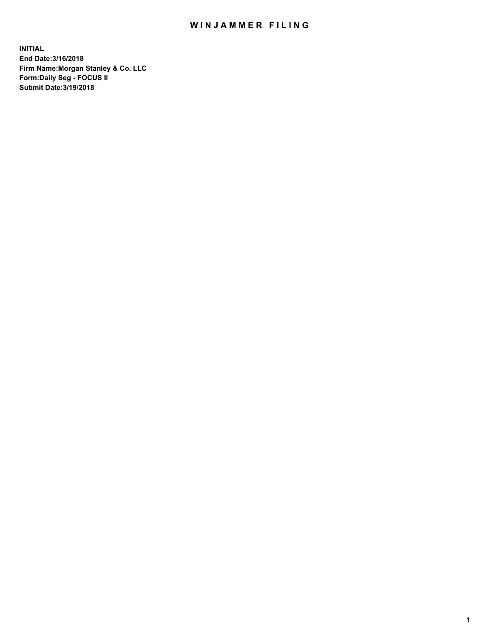## WIN JAMMER FILING

**INITIAL End Date:3/16/2018 Firm Name:Morgan Stanley & Co. LLC Form:Daily Seg - FOCUS II Submit Date:3/19/2018**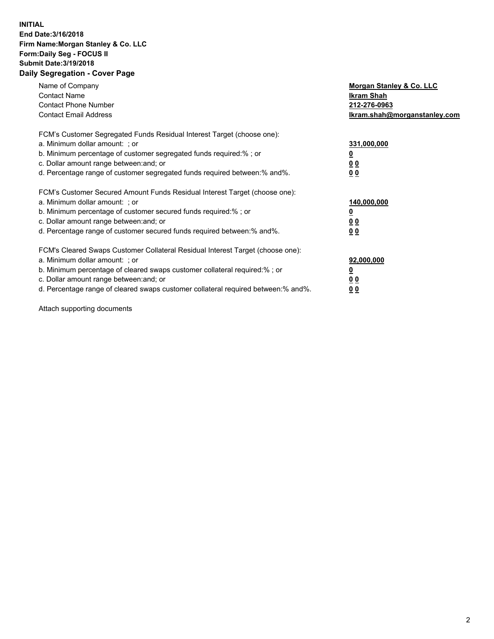## **INITIAL End Date:3/16/2018 Firm Name:Morgan Stanley & Co. LLC Form:Daily Seg - FOCUS II Submit Date:3/19/2018 Daily Segregation - Cover Page**

| Name of Company<br><b>Contact Name</b><br><b>Contact Phone Number</b><br><b>Contact Email Address</b>                                                                                                                                                                                                                         | Morgan Stanley & Co. LLC<br>Ikram Shah<br>212-276-0963<br>lkram.shah@morganstanley.com |
|-------------------------------------------------------------------------------------------------------------------------------------------------------------------------------------------------------------------------------------------------------------------------------------------------------------------------------|----------------------------------------------------------------------------------------|
| FCM's Customer Segregated Funds Residual Interest Target (choose one):<br>a. Minimum dollar amount: ; or<br>b. Minimum percentage of customer segregated funds required:%; or<br>c. Dollar amount range between: and; or<br>d. Percentage range of customer segregated funds required between:% and%.                         | 331,000,000<br>0 <sub>0</sub><br>00                                                    |
| FCM's Customer Secured Amount Funds Residual Interest Target (choose one):<br>a. Minimum dollar amount: ; or<br>b. Minimum percentage of customer secured funds required:%; or<br>c. Dollar amount range between: and; or<br>d. Percentage range of customer secured funds required between:% and%.                           | 140,000,000<br>0 <sub>0</sub><br>0 <sub>0</sub>                                        |
| FCM's Cleared Swaps Customer Collateral Residual Interest Target (choose one):<br>a. Minimum dollar amount: ; or<br>b. Minimum percentage of cleared swaps customer collateral required:%; or<br>c. Dollar amount range between: and; or<br>d. Percentage range of cleared swaps customer collateral required between:% and%. | 92,000,000<br>0 <sub>0</sub><br><u>00</u>                                              |

Attach supporting documents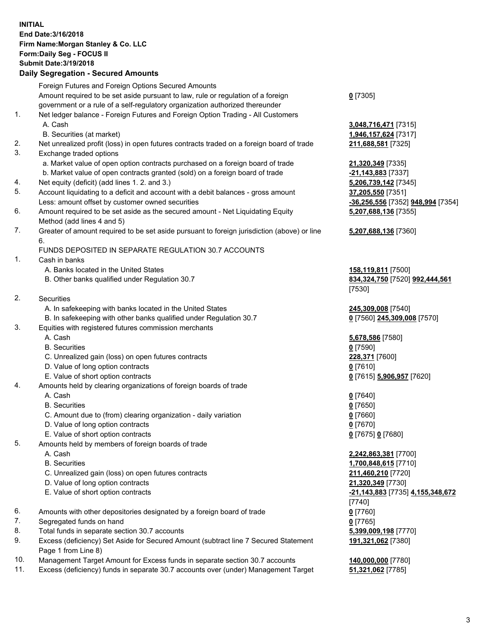## **INITIAL End Date:3/16/2018 Firm Name:Morgan Stanley & Co. LLC Form:Daily Seg - FOCUS II Submit Date:3/19/2018**

## **Daily Segregation - Secured Amounts**

|    | Foreign Futures and Foreign Options Secured Amounts                                                          |                                    |
|----|--------------------------------------------------------------------------------------------------------------|------------------------------------|
|    | Amount required to be set aside pursuant to law, rule or regulation of a foreign                             | $0$ [7305]                         |
|    | government or a rule of a self-regulatory organization authorized thereunder                                 |                                    |
| 1. | Net ledger balance - Foreign Futures and Foreign Option Trading - All Customers                              |                                    |
|    | A. Cash                                                                                                      | 3,048,716,471 [7315]               |
|    | B. Securities (at market)                                                                                    | 1,946,157,624 [7317]               |
| 2. | Net unrealized profit (loss) in open futures contracts traded on a foreign board of trade                    | 211,688,581 [7325]                 |
| 3. | Exchange traded options                                                                                      |                                    |
|    | a. Market value of open option contracts purchased on a foreign board of trade                               | 21,320,349 [7335]                  |
|    | b. Market value of open contracts granted (sold) on a foreign board of trade                                 | -21,143,883 [7337]                 |
| 4. | Net equity (deficit) (add lines 1.2. and 3.)                                                                 | 5,206,739,142 [7345]               |
| 5. | Account liquidating to a deficit and account with a debit balances - gross amount                            | 37,205,550 [7351]                  |
|    | Less: amount offset by customer owned securities                                                             | -36,256,556 [7352] 948,994 [7354]  |
| 6. | Amount required to be set aside as the secured amount - Net Liquidating Equity<br>Method (add lines 4 and 5) | 5,207,688,136 [7355]               |
| 7. |                                                                                                              |                                    |
|    | Greater of amount required to be set aside pursuant to foreign jurisdiction (above) or line<br>6.            | 5,207,688,136 [7360]               |
|    | FUNDS DEPOSITED IN SEPARATE REGULATION 30.7 ACCOUNTS                                                         |                                    |
| 1. | Cash in banks                                                                                                |                                    |
|    | A. Banks located in the United States                                                                        | 158,119,811 [7500]                 |
|    | B. Other banks qualified under Regulation 30.7                                                               | 834, 324, 750 [7520] 992, 444, 561 |
|    |                                                                                                              | [7530]                             |
| 2. | Securities                                                                                                   |                                    |
|    | A. In safekeeping with banks located in the United States                                                    | 245,309,008 [7540]                 |
|    | B. In safekeeping with other banks qualified under Regulation 30.7                                           | 0 [7560] 245,309,008 [7570]        |
| 3. | Equities with registered futures commission merchants                                                        |                                    |
|    | A. Cash                                                                                                      | 5,678,586 [7580]                   |
|    | <b>B.</b> Securities                                                                                         | $0$ [7590]                         |
|    | C. Unrealized gain (loss) on open futures contracts                                                          | 228,371 [7600]                     |
|    | D. Value of long option contracts                                                                            | $0$ [7610]                         |
|    | E. Value of short option contracts                                                                           | 0 [7615] 5,906,957 [7620]          |
| 4. | Amounts held by clearing organizations of foreign boards of trade                                            |                                    |
|    | A. Cash                                                                                                      | $0$ [7640]                         |
|    | <b>B.</b> Securities                                                                                         | $0$ [7650]                         |
|    | C. Amount due to (from) clearing organization - daily variation                                              | $0$ [7660]                         |
|    | D. Value of long option contracts                                                                            | $0$ [7670]                         |
|    | E. Value of short option contracts                                                                           | 0 [7675] 0 [7680]                  |
| 5. | Amounts held by members of foreign boards of trade                                                           |                                    |
|    | A. Cash                                                                                                      | 2,242,863,381 [7700]               |
|    | <b>B.</b> Securities                                                                                         | 1,700,848,615 [7710]               |
|    | C. Unrealized gain (loss) on open futures contracts                                                          | 211,460,210 [7720]                 |
|    | D. Value of long option contracts                                                                            | 21,320,349 [7730]                  |
|    | E. Value of short option contracts                                                                           | -21,143,883 [7735] 4,155,348,672   |
|    |                                                                                                              | [7740]                             |
| 6. | Amounts with other depositories designated by a foreign board of trade                                       | $0$ [7760]                         |
| 7. | Segregated funds on hand                                                                                     | $0$ [7765]                         |
| 8. | Total funds in separate section 30.7 accounts                                                                | 5,399,009,198 [7770]               |
| 9. | Excess (deficiency) Set Aside for Secured Amount (subtract line 7 Secured Statement                          | 191,321,062 [7380]                 |
|    | Page 1 from Line 8)                                                                                          |                                    |
|    |                                                                                                              |                                    |

- 10. Management Target Amount for Excess funds in separate section 30.7 accounts **140,000,000** [7780]
- 11. Excess (deficiency) funds in separate 30.7 accounts over (under) Management Target **51,321,062** [7785]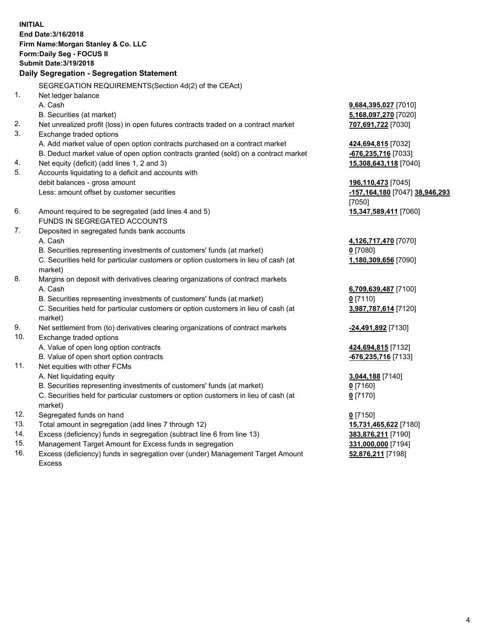**INITIAL End Date:3/16/2018 Firm Name:Morgan Stanley & Co. LLC Form:Daily Seg - FOCUS II Submit Date:3/19/2018 Daily Segregation - Segregation Statement** SEGREGATION REQUIREMENTS(Section 4d(2) of the CEAct) 1. Net ledger balance A. Cash **9,684,395,027** [7010] B. Securities (at market) **5,168,097,270** [7020] 2. Net unrealized profit (loss) in open futures contracts traded on a contract market **707,691,722** [7030] 3. Exchange traded options A. Add market value of open option contracts purchased on a contract market **424,694,815** [7032] B. Deduct market value of open option contracts granted (sold) on a contract market **-676,235,716** [7033] 4. Net equity (deficit) (add lines 1, 2 and 3) **15,308,643,118** [7040] 5. Accounts liquidating to a deficit and accounts with debit balances - gross amount **196,110,473** [7045] Less: amount offset by customer securities **-157,164,180** [7047] **38,946,293** [7050] 6. Amount required to be segregated (add lines 4 and 5) **15,347,589,411** [7060] FUNDS IN SEGREGATED ACCOUNTS 7. Deposited in segregated funds bank accounts A. Cash **4,126,717,470** [7070] B. Securities representing investments of customers' funds (at market) **0** [7080] C. Securities held for particular customers or option customers in lieu of cash (at market) **1,180,309,656** [7090] 8. Margins on deposit with derivatives clearing organizations of contract markets A. Cash **6,709,639,487** [7100] B. Securities representing investments of customers' funds (at market) **0** [7110] C. Securities held for particular customers or option customers in lieu of cash (at market) **3,987,787,614** [7120] 9. Net settlement from (to) derivatives clearing organizations of contract markets **-24,491,892** [7130] 10. Exchange traded options A. Value of open long option contracts **424,694,815** [7132] B. Value of open short option contracts **-676,235,716** [7133] 11. Net equities with other FCMs A. Net liquidating equity **3,044,188** [7140] B. Securities representing investments of customers' funds (at market) **0** [7160] C. Securities held for particular customers or option customers in lieu of cash (at market) **0** [7170] 12. Segregated funds on hand **0** [7150] 13. Total amount in segregation (add lines 7 through 12) **15,731,465,622** [7180] 14. Excess (deficiency) funds in segregation (subtract line 6 from line 13) **383,876,211** [7190] 15. Management Target Amount for Excess funds in segregation **331,000,000** [7194]

16. Excess (deficiency) funds in segregation over (under) Management Target Amount Excess

**52,876,211** [7198]